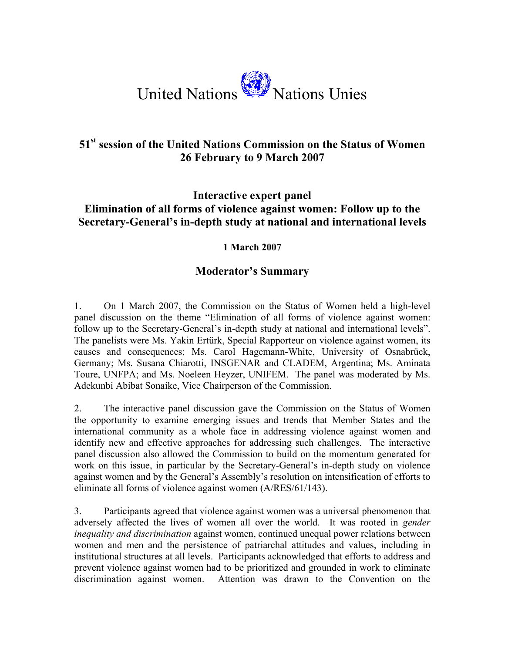

## **51st session of the United Nations Commission on the Status of Women 26 February to 9 March 2007**

## **Interactive expert panel Elimination of all forms of violence against women: Follow up to the Secretary-General's in-depth study at national and international levels**

## **1 March 2007**

## **Moderator's Summary**

1. On 1 March 2007, the Commission on the Status of Women held a high-level panel discussion on the theme "Elimination of all forms of violence against women: follow up to the Secretary-General's in-depth study at national and international levels". The panelists were Ms. Yakin Ertürk, Special Rapporteur on violence against women, its causes and consequences; Ms. Carol Hagemann-White, University of Osnabrück, Germany; Ms. Susana Chiarotti, INSGENAR and CLADEM, Argentina; Ms. Aminata Toure, UNFPA; and Ms. Noeleen Heyzer, UNIFEM. The panel was moderated by Ms. Adekunbi Abibat Sonaike, Vice Chairperson of the Commission.

2. The interactive panel discussion gave the Commission on the Status of Women the opportunity to examine emerging issues and trends that Member States and the international community as a whole face in addressing violence against women and identify new and effective approaches for addressing such challenges. The interactive panel discussion also allowed the Commission to build on the momentum generated for work on this issue, in particular by the Secretary-General's in-depth study on violence against women and by the General's Assembly's resolution on intensification of efforts to eliminate all forms of violence against women (A/RES/61/143).

3. Participants agreed that violence against women was a universal phenomenon that adversely affected the lives of women all over the world. It was rooted in *gender inequality and discrimination* against women, continued unequal power relations between women and men and the persistence of patriarchal attitudes and values, including in institutional structures at all levels. Participants acknowledged that efforts to address and prevent violence against women had to be prioritized and grounded in work to eliminate discrimination against women. Attention was drawn to the Convention on the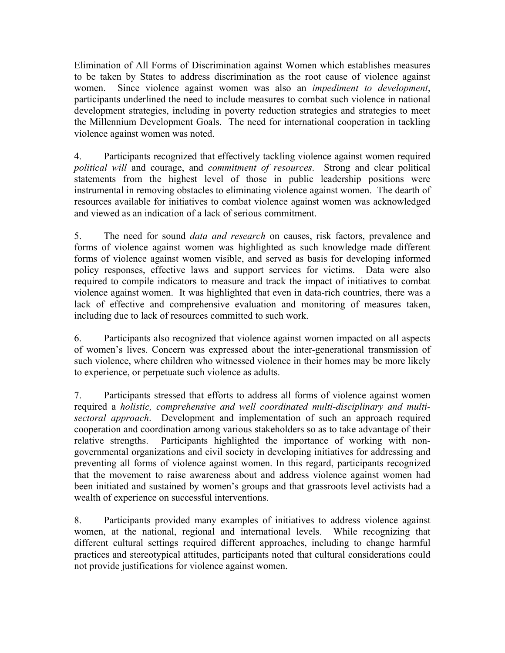Elimination of All Forms of Discrimination against Women which establishes measures to be taken by States to address discrimination as the root cause of violence against women. Since violence against women was also an *impediment to development*, participants underlined the need to include measures to combat such violence in national development strategies, including in poverty reduction strategies and strategies to meet the Millennium Development Goals. The need for international cooperation in tackling violence against women was noted.

4. Participants recognized that effectively tackling violence against women required *political will* and courage, and *commitment of resources*. Strong and clear political statements from the highest level of those in public leadership positions were instrumental in removing obstacles to eliminating violence against women. The dearth of resources available for initiatives to combat violence against women was acknowledged and viewed as an indication of a lack of serious commitment.

5. The need for sound *data and research* on causes, risk factors, prevalence and forms of violence against women was highlighted as such knowledge made different forms of violence against women visible, and served as basis for developing informed policy responses, effective laws and support services for victims. Data were also required to compile indicators to measure and track the impact of initiatives to combat violence against women. It was highlighted that even in data-rich countries, there was a lack of effective and comprehensive evaluation and monitoring of measures taken, including due to lack of resources committed to such work.

6. Participants also recognized that violence against women impacted on all aspects of women's lives. Concern was expressed about the inter-generational transmission of such violence, where children who witnessed violence in their homes may be more likely to experience, or perpetuate such violence as adults.

7. Participants stressed that efforts to address all forms of violence against women required a *holistic, comprehensive and well coordinated multi-disciplinary and multisectoral approach*. Development and implementation of such an approach required cooperation and coordination among various stakeholders so as to take advantage of their relative strengths. Participants highlighted the importance of working with nongovernmental organizations and civil society in developing initiatives for addressing and preventing all forms of violence against women. In this regard, participants recognized that the movement to raise awareness about and address violence against women had been initiated and sustained by women's groups and that grassroots level activists had a wealth of experience on successful interventions.

8. Participants provided many examples of initiatives to address violence against women, at the national, regional and international levels. While recognizing that different cultural settings required different approaches, including to change harmful practices and stereotypical attitudes, participants noted that cultural considerations could not provide justifications for violence against women.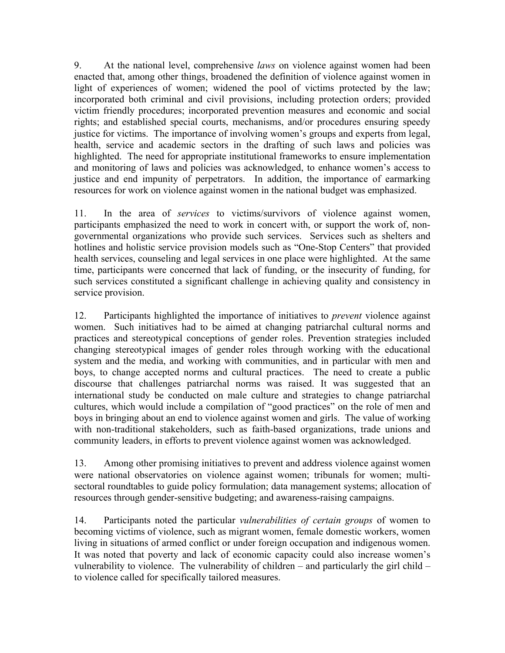9. At the national level, comprehensive *laws* on violence against women had been enacted that, among other things, broadened the definition of violence against women in light of experiences of women; widened the pool of victims protected by the law; incorporated both criminal and civil provisions, including protection orders; provided victim friendly procedures; incorporated prevention measures and economic and social rights; and established special courts, mechanisms, and/or procedures ensuring speedy justice for victims. The importance of involving women's groups and experts from legal, health, service and academic sectors in the drafting of such laws and policies was highlighted. The need for appropriate institutional frameworks to ensure implementation and monitoring of laws and policies was acknowledged, to enhance women's access to justice and end impunity of perpetrators. In addition, the importance of earmarking resources for work on violence against women in the national budget was emphasized.

11. In the area of *services* to victims/survivors of violence against women, participants emphasized the need to work in concert with, or support the work of, nongovernmental organizations who provide such services. Services such as shelters and hotlines and holistic service provision models such as "One-Stop Centers" that provided health services, counseling and legal services in one place were highlighted. At the same time, participants were concerned that lack of funding, or the insecurity of funding, for such services constituted a significant challenge in achieving quality and consistency in service provision.

12. Participants highlighted the importance of initiatives to *prevent* violence against women. Such initiatives had to be aimed at changing patriarchal cultural norms and practices and stereotypical conceptions of gender roles. Prevention strategies included changing stereotypical images of gender roles through working with the educational system and the media, and working with communities, and in particular with men and boys, to change accepted norms and cultural practices. The need to create a public discourse that challenges patriarchal norms was raised. It was suggested that an international study be conducted on male culture and strategies to change patriarchal cultures, which would include a compilation of "good practices" on the role of men and boys in bringing about an end to violence against women and girls. The value of working with non-traditional stakeholders, such as faith-based organizations, trade unions and community leaders, in efforts to prevent violence against women was acknowledged.

13. Among other promising initiatives to prevent and address violence against women were national observatories on violence against women; tribunals for women; multisectoral roundtables to guide policy formulation; data management systems; allocation of resources through gender-sensitive budgeting; and awareness-raising campaigns.

14. Participants noted the particular *vulnerabilities of certain groups* of women to becoming victims of violence, such as migrant women, female domestic workers, women living in situations of armed conflict or under foreign occupation and indigenous women. It was noted that poverty and lack of economic capacity could also increase women's vulnerability to violence. The vulnerability of children – and particularly the girl child – to violence called for specifically tailored measures.